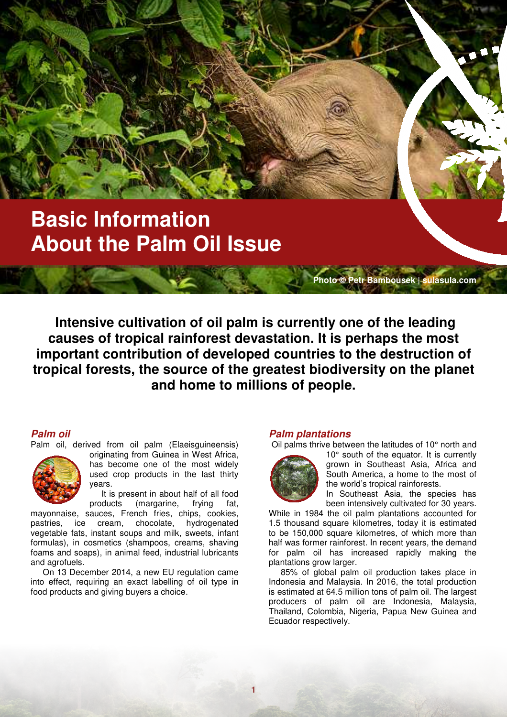# **Basic Information About the Palm Oil Issue**

 **Intensive cultivation of oil palm is currently one of the leading causes of tropical rainforest devastation. It is perhaps the most important contribution of developed countries to the destruction of tropical forests, the source of the greatest biodiversity on the planet and home to millions of people.** 

**1**

# **Palm oil**

Palm oil, derived from oil palm (Elaeisguineensis)

originating from Guinea in West Africa, has become one of the most widely used crop products in the last thirty years.

It is present in about half of all food products (margarine, frying fat,

mayonnaise, sauces, French fries, chips, cookies, pastries, ice cream, chocolate, hydrogenated vegetable fats, instant soups and milk, sweets, infant formulas), in cosmetics (shampoos, creams, shaving foams and soaps), in animal feed, industrial lubricants and agrofuels.

On 13 December 2014, a new EU regulation came into effect, requiring an exact labelling of oil type in food products and giving buyers a choice.

## **Palm plantations**

Oil palms thrive between the latitudes of 10° north and



10° south of the equator. It is currently grown in Southeast Asia, Africa and South America, a home to the most of the world's tropical rainforests.

**Photo © Petr Bambousek | sulasula.com**

In Southeast Asia, the species has been intensively cultivated for 30 years.

While in 1984 the oil palm plantations accounted for 1.5 thousand square kilometres, today it is estimated to be 150,000 square kilometres, of which more than half was former rainforest. In recent years, the demand for palm oil has increased rapidly making the plantations grow larger.

85% of global palm oil production takes place in Indonesia and Malaysia. In 2016, the total production is estimated at 64.5 million tons of palm oil. The largest producers of palm oil are Indonesia, Malaysia, Thailand, Colombia, Nigeria, Papua New Guinea and Ecuador respectively.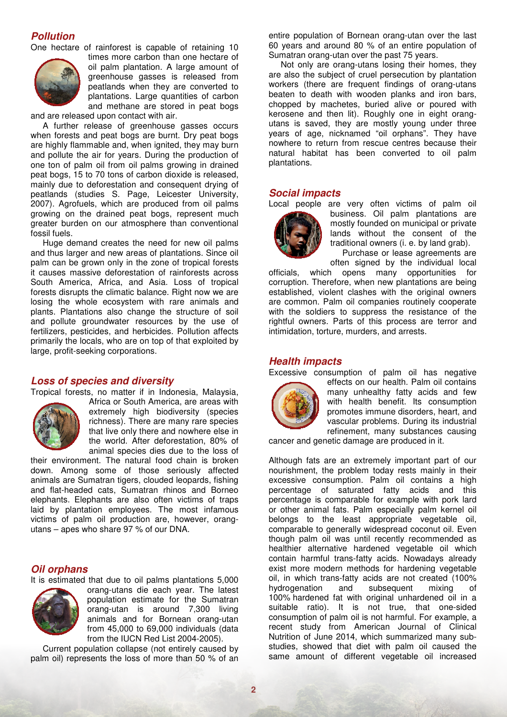## **Pollution**

One hectare of rainforest is capable of retaining 10



times more carbon than one hectare of oil palm plantation. A large amount of greenhouse gasses is released from peatlands when they are converted to plantations. Large quantities of carbon and methane are stored in peat bogs

and are released upon contact with air.

A further release of greenhouse gasses occurs when forests and peat bogs are burnt. Dry peat bogs are highly flammable and, when ignited, they may burn and pollute the air for years. During the production of one ton of palm oil from oil palms growing in drained peat bogs, 15 to 70 tons of carbon dioxide is released, mainly due to deforestation and consequent drying of peatlands (studies S. Page, Leicester University, 2007). Agrofuels, which are produced from oil palms growing on the drained peat bogs, represent much greater burden on our atmosphere than conventional fossil fuels.

Huge demand creates the need for new oil palms and thus larger and new areas of plantations. Since oil palm can be grown only in the zone of tropical forests it causes massive deforestation of rainforests across South America, Africa, and Asia. Loss of tropical forests disrupts the climatic balance. Right now we are losing the whole ecosystem with rare animals and plants. Plantations also change the structure of soil and pollute groundwater resources by the use of fertilizers, pesticides, and herbicides. Pollution affects primarily the locals, who are on top of that exploited by large, profit-seeking corporations.

## **Loss of species and diversity**

Tropical forests, no matter if in Indonesia, Malaysia,



Africa or South America, are areas with extremely high biodiversity (species richness). There are many rare species that live only there and nowhere else in the world. After deforestation, 80% of animal species dies due to the loss of

their environment. The natural food chain is broken down. Among some of those seriously affected animals are Sumatran tigers, clouded leopards, fishing and flat-headed cats, Sumatran rhinos and Borneo elephants. Elephants are also often victims of traps laid by plantation employees. The most infamous victims of palm oil production are, however, orangutans – apes who share 97 % of our DNA.

#### **Oil orphans**

It is estimated that due to oil palms plantations 5,000



orang-utans die each year. The latest population estimate for the Sumatran orang-utan is around 7,300 living animals and for Bornean orang-utan from 45,000 to 69,000 individuals (data from the IUCN Red List 2004-2005).

Current population collapse (not entirely caused by palm oil) represents the loss of more than 50 % of an entire population of Bornean orang-utan over the last 60 years and around 80 % of an entire population of Sumatran orang-utan over the past 75 years.

Not only are orang-utans losing their homes, they are also the subject of cruel persecution by plantation workers (there are frequent findings of orang-utans beaten to death with wooden planks and iron bars, chopped by machetes, buried alive or poured with kerosene and then lit). Roughly one in eight orangutans is saved, they are mostly young under three years of age, nicknamed "oil orphans". They have nowhere to return from rescue centres because their natural habitat has been converted to oil palm plantations.

#### **Social impacts**

Local people are very often victims of palm oil business. Oil palm plantations are mostly founded on municipal or private lands without the consent of the traditional owners (i. e. by land grab).

Purchase or lease agreements are often signed by the individual local

officials, which opens many opportunities for corruption. Therefore, when new plantations are being established, violent clashes with the original owners are common. Palm oil companies routinely cooperate with the soldiers to suppress the resistance of the rightful owners. Parts of this process are terror and intimidation, torture, murders, and arrests.

#### **Health impacts**

Excessive consumption of palm oil has negative



effects on our health. Palm oil contains many unhealthy fatty acids and few with health benefit. Its consumption promotes immune disorders, heart, and vascular problems. During its industrial refinement, many substances causing

cancer and genetic damage are produced in it.

Although fats are an extremely important part of our nourishment, the problem today rests mainly in their excessive consumption. Palm oil contains a high percentage of saturated fatty acids and this percentage is comparable for example with pork lard or other animal fats. Palm especially palm kernel oil belongs to the least appropriate vegetable oil, comparable to generally widespread coconut oil. Even though palm oil was until recently recommended as healthier alternative hardened vegetable oil which contain harmful trans-fatty acids. Nowadays already exist more modern methods for hardening vegetable oil, in which trans-fatty acids are not created (100% hydrogenation and subsequent mixing of 100% hardened fat with original unhardened oil in a suitable ratio). It is not true, that one-sided consumption of palm oil is not harmful. For example, a recent study from American Journal of Clinical Nutrition of June 2014, which summarized many substudies, showed that diet with palm oil caused the same amount of different vegetable oil increased